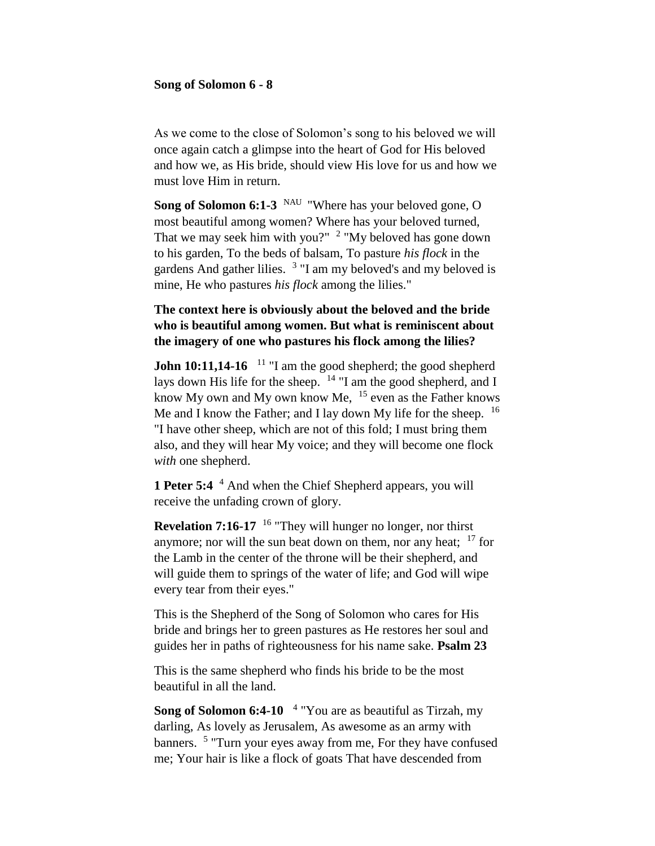#### **Song of Solomon 6 - 8**

As we come to the close of Solomon's song to his beloved we will once again catch a glimpse into the heart of God for His beloved and how we, as His bride, should view His love for us and how we must love Him in return.

**Song of Solomon 6:1-3** <sup>NAU</sup> "Where has your beloved gone, O most beautiful among women? Where has your beloved turned, That we may seek him with you?"  $2$  "My beloved has gone down to his garden, To the beds of balsam, To pasture *his flock* in the gardens And gather lilies. <sup>3</sup> "I am my beloved's and my beloved is mine, He who pastures *his flock* among the lilies."

# **The context here is obviously about the beloved and the bride who is beautiful among women. But what is reminiscent about the imagery of one who pastures his flock among the lilies?**

**John 10:11,14-16** <sup>11</sup> "I am the good shepherd; the good shepherd lays down His life for the sheep. <sup>14</sup> "I am the good shepherd, and I know My own and My own know Me, <sup>15</sup> even as the Father knows Me and I know the Father; and I lay down My life for the sheep. <sup>16</sup> "I have other sheep, which are not of this fold; I must bring them also, and they will hear My voice; and they will become one flock *with* one shepherd.

**1 Peter 5:4** <sup>4</sup> And when the Chief Shepherd appears, you will receive the unfading crown of glory.

**Revelation 7:16-17** <sup>16</sup> "They will hunger no longer, nor thirst anymore; nor will the sun beat down on them, nor any heat;  $17$  for the Lamb in the center of the throne will be their shepherd, and will guide them to springs of the water of life; and God will wipe every tear from their eyes."

This is the Shepherd of the Song of Solomon who cares for His bride and brings her to green pastures as He restores her soul and guides her in paths of righteousness for his name sake. **Psalm 23**

This is the same shepherd who finds his bride to be the most beautiful in all the land.

**Song of Solomon 6:4-10**  4 "You are as beautiful as Tirzah, my darling, As lovely as Jerusalem, As awesome as an army with banners. <sup>5</sup> "Turn your eyes away from me, For they have confused me; Your hair is like a flock of goats That have descended from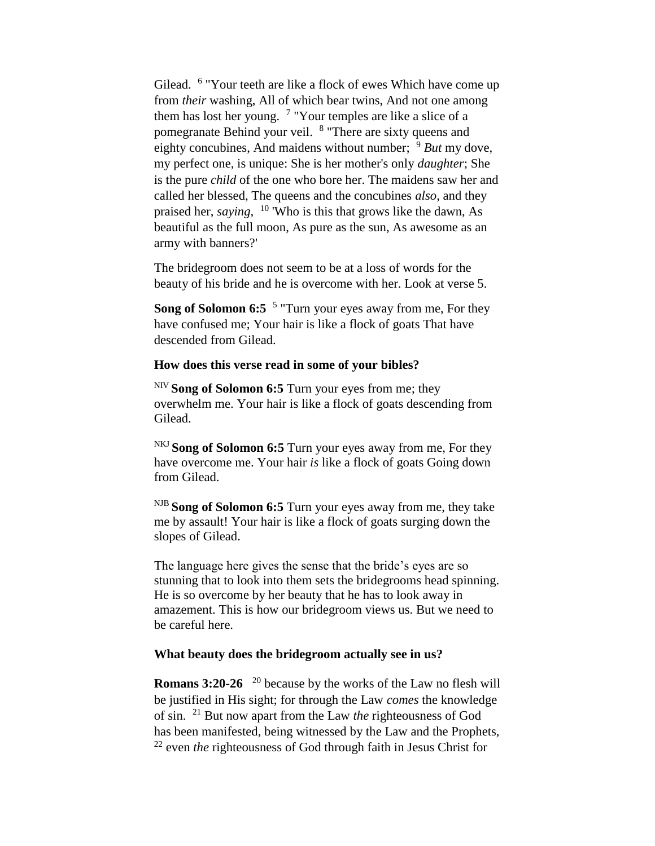Gilead. <sup>6</sup> "Your teeth are like a flock of ewes Which have come up from *their* washing, All of which bear twins, And not one among them has lost her young.  $7$  "Your temples are like a slice of a pomegranate Behind your veil. <sup>8</sup> "There are sixty queens and eighty concubines, And maidens without number; <sup>9</sup> *But* my dove, my perfect one, is unique: She is her mother's only *daughter*; She is the pure *child* of the one who bore her. The maidens saw her and called her blessed, The queens and the concubines *also*, and they praised her, *saying*, <sup>10</sup> 'Who is this that grows like the dawn, As beautiful as the full moon, As pure as the sun, As awesome as an army with banners?'

The bridegroom does not seem to be at a loss of words for the beauty of his bride and he is overcome with her. Look at verse 5.

Song of Solomon 6:5<sup>5</sup> "Turn your eyes away from me, For they have confused me; Your hair is like a flock of goats That have descended from Gilead.

### **How does this verse read in some of your bibles?**

NIV **Song of Solomon 6:5** Turn your eyes from me; they overwhelm me. Your hair is like a flock of goats descending from Gilead.

NKJ **Song of Solomon 6:5** Turn your eyes away from me, For they have overcome me. Your hair *is* like a flock of goats Going down from Gilead.

NJB **Song of Solomon 6:5** Turn your eyes away from me, they take me by assault! Your hair is like a flock of goats surging down the slopes of Gilead.

The language here gives the sense that the bride's eyes are so stunning that to look into them sets the bridegrooms head spinning. He is so overcome by her beauty that he has to look away in amazement. This is how our bridegroom views us. But we need to be careful here.

# **What beauty does the bridegroom actually see in us?**

**Romans 3:20-26** <sup>20</sup> because by the works of the Law no flesh will be justified in His sight; for through the Law *comes* the knowledge of sin. <sup>21</sup> But now apart from the Law *the* righteousness of God has been manifested, being witnessed by the Law and the Prophets, <sup>22</sup> even *the* righteousness of God through faith in Jesus Christ for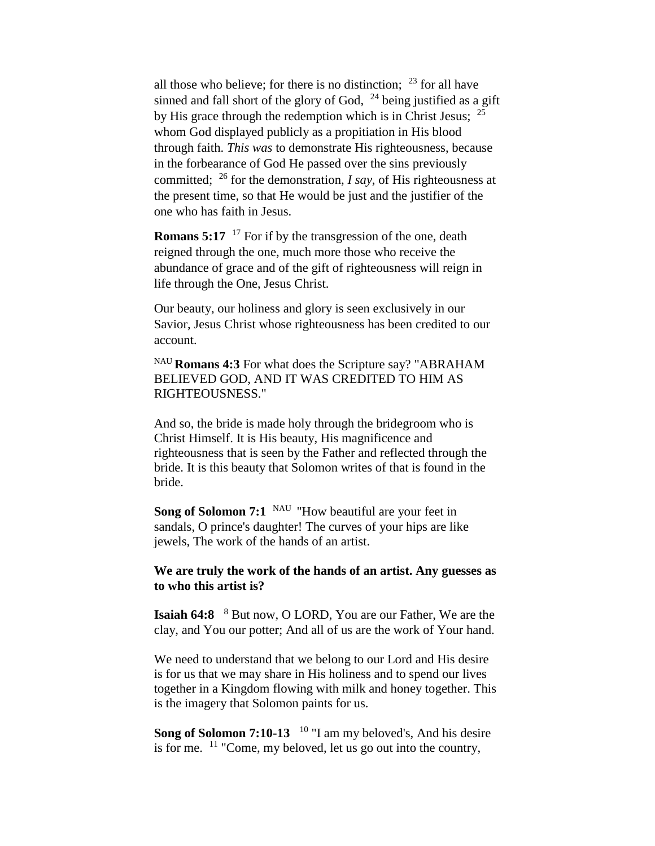all those who believe; for there is no distinction;  $^{23}$  for all have sinned and fall short of the glory of God,  $^{24}$  being justified as a gift by His grace through the redemption which is in Christ Jesus;  $^{25}$ whom God displayed publicly as a propitiation in His blood through faith. *This was* to demonstrate His righteousness, because in the forbearance of God He passed over the sins previously committed; <sup>26</sup> for the demonstration, *I say*, of His righteousness at the present time, so that He would be just and the justifier of the one who has faith in Jesus.

**Romans 5:17** <sup>17</sup> For if by the transgression of the one, death reigned through the one, much more those who receive the abundance of grace and of the gift of righteousness will reign in life through the One, Jesus Christ.

Our beauty, our holiness and glory is seen exclusively in our Savior, Jesus Christ whose righteousness has been credited to our account.

NAU **Romans 4:3** For what does the Scripture say? "ABRAHAM BELIEVED GOD, AND IT WAS CREDITED TO HIM AS RIGHTEOUSNESS."

And so, the bride is made holy through the bridegroom who is Christ Himself. It is His beauty, His magnificence and righteousness that is seen by the Father and reflected through the bride. It is this beauty that Solomon writes of that is found in the bride.

**Song of Solomon 7:1** <sup>NAU</sup> "How beautiful are your feet in sandals, O prince's daughter! The curves of your hips are like jewels, The work of the hands of an artist.

**We are truly the work of the hands of an artist. Any guesses as to who this artist is?**

**Isaiah 64:8** <sup>8</sup> But now, O LORD, You are our Father, We are the clay, and You our potter; And all of us are the work of Your hand.

We need to understand that we belong to our Lord and His desire is for us that we may share in His holiness and to spend our lives together in a Kingdom flowing with milk and honey together. This is the imagery that Solomon paints for us.

Song of Solomon 7:10-13<sup>10</sup> "I am my beloved's, And his desire is for me. <sup>11</sup> "Come, my beloved, let us go out into the country,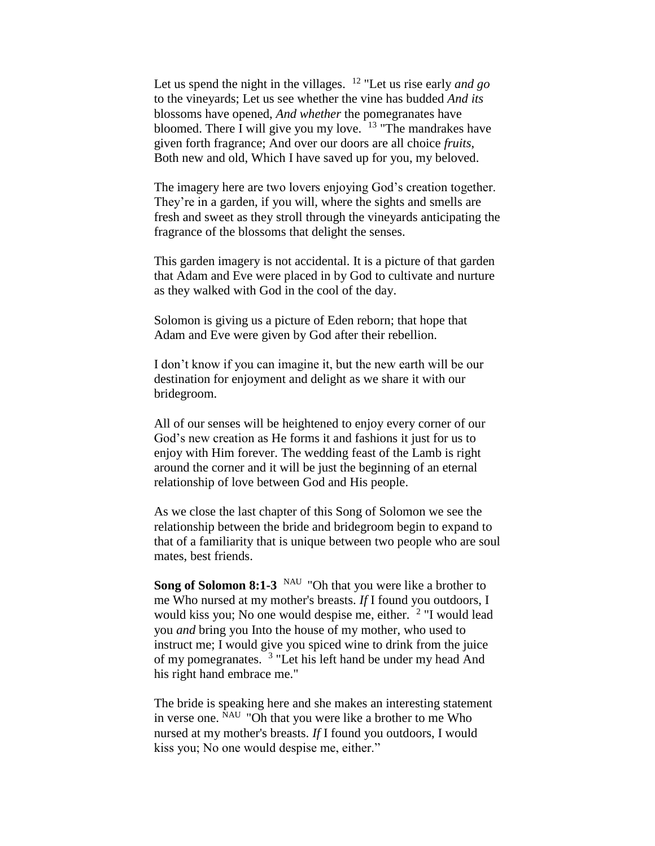Let us spend the night in the villages. <sup>12</sup> "Let us rise early *and go*  to the vineyards; Let us see whether the vine has budded *And its*  blossoms have opened, *And whether* the pomegranates have bloomed. There I will give you my love.  $13$  "The mandrakes have given forth fragrance; And over our doors are all choice *fruits*, Both new and old, Which I have saved up for you, my beloved.

The imagery here are two lovers enjoying God's creation together. They're in a garden, if you will, where the sights and smells are fresh and sweet as they stroll through the vineyards anticipating the fragrance of the blossoms that delight the senses.

This garden imagery is not accidental. It is a picture of that garden that Adam and Eve were placed in by God to cultivate and nurture as they walked with God in the cool of the day.

Solomon is giving us a picture of Eden reborn; that hope that Adam and Eve were given by God after their rebellion.

I don't know if you can imagine it, but the new earth will be our destination for enjoyment and delight as we share it with our bridegroom.

All of our senses will be heightened to enjoy every corner of our God's new creation as He forms it and fashions it just for us to enjoy with Him forever. The wedding feast of the Lamb is right around the corner and it will be just the beginning of an eternal relationship of love between God and His people.

As we close the last chapter of this Song of Solomon we see the relationship between the bride and bridegroom begin to expand to that of a familiarity that is unique between two people who are soul mates, best friends.

**Song of Solomon 8:1-3** <sup>NAU</sup> "Oh that you were like a brother to me Who nursed at my mother's breasts. *If* I found you outdoors, I would kiss you; No one would despise me, either. <sup>2</sup> "I would lead you *and* bring you Into the house of my mother, who used to instruct me; I would give you spiced wine to drink from the juice of my pomegranates. <sup>3</sup> "Let his left hand be under my head And his right hand embrace me."

The bride is speaking here and she makes an interesting statement in verse one. NAU "Oh that you were like a brother to me Who nursed at my mother's breasts. *If* I found you outdoors, I would kiss you; No one would despise me, either."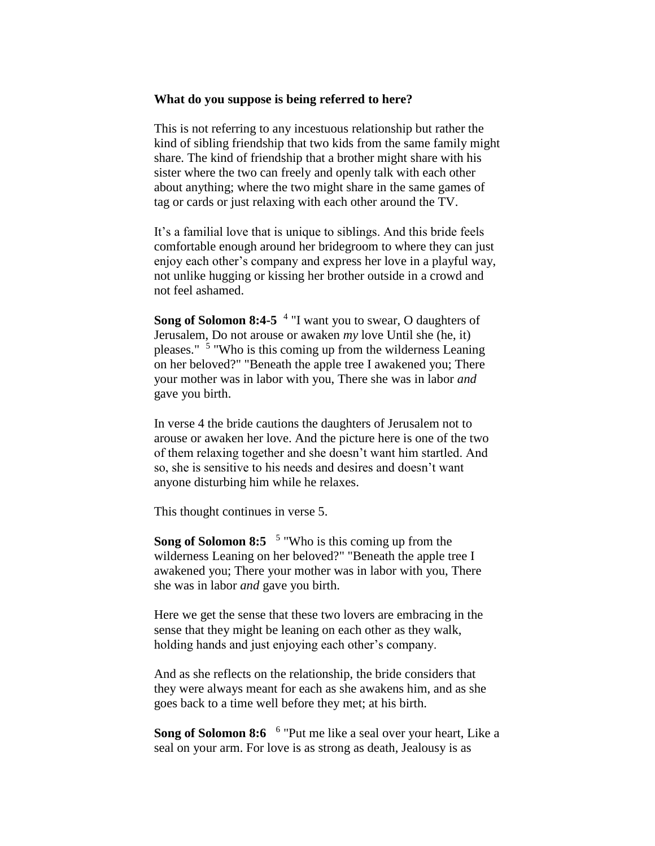#### **What do you suppose is being referred to here?**

This is not referring to any incestuous relationship but rather the kind of sibling friendship that two kids from the same family might share. The kind of friendship that a brother might share with his sister where the two can freely and openly talk with each other about anything; where the two might share in the same games of tag or cards or just relaxing with each other around the TV.

It's a familial love that is unique to siblings. And this bride feels comfortable enough around her bridegroom to where they can just enjoy each other's company and express her love in a playful way, not unlike hugging or kissing her brother outside in a crowd and not feel ashamed.

Song of Solomon 8:4-5<sup>4</sup> "I want you to swear, O daughters of Jerusalem, Do not arouse or awaken *my* love Until she (he, it) pleases." <sup>5</sup> "Who is this coming up from the wilderness Leaning on her beloved?" "Beneath the apple tree I awakened you; There your mother was in labor with you, There she was in labor *and*  gave you birth.

In verse 4 the bride cautions the daughters of Jerusalem not to arouse or awaken her love. And the picture here is one of the two of them relaxing together and she doesn't want him startled. And so, she is sensitive to his needs and desires and doesn't want anyone disturbing him while he relaxes.

This thought continues in verse 5.

Song of Solomon 8:5 <sup>5</sup> "Who is this coming up from the wilderness Leaning on her beloved?" "Beneath the apple tree I awakened you; There your mother was in labor with you, There she was in labor *and* gave you birth.

Here we get the sense that these two lovers are embracing in the sense that they might be leaning on each other as they walk, holding hands and just enjoying each other's company.

And as she reflects on the relationship, the bride considers that they were always meant for each as she awakens him, and as she goes back to a time well before they met; at his birth.

Song of Solomon 8:6 <sup>6</sup> "Put me like a seal over your heart, Like a seal on your arm. For love is as strong as death, Jealousy is as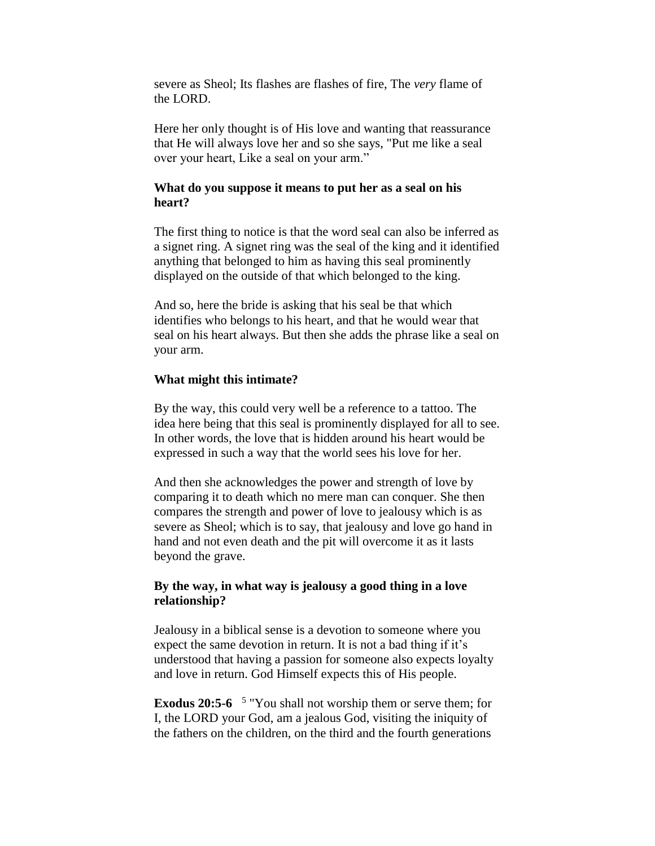severe as Sheol; Its flashes are flashes of fire, The *very* flame of the LORD.

Here her only thought is of His love and wanting that reassurance that He will always love her and so she says, "Put me like a seal over your heart, Like a seal on your arm."

### **What do you suppose it means to put her as a seal on his heart?**

The first thing to notice is that the word seal can also be inferred as a signet ring. A signet ring was the seal of the king and it identified anything that belonged to him as having this seal prominently displayed on the outside of that which belonged to the king.

And so, here the bride is asking that his seal be that which identifies who belongs to his heart, and that he would wear that seal on his heart always. But then she adds the phrase like a seal on your arm.

### **What might this intimate?**

By the way, this could very well be a reference to a tattoo. The idea here being that this seal is prominently displayed for all to see. In other words, the love that is hidden around his heart would be expressed in such a way that the world sees his love for her.

And then she acknowledges the power and strength of love by comparing it to death which no mere man can conquer. She then compares the strength and power of love to jealousy which is as severe as Sheol; which is to say, that jealousy and love go hand in hand and not even death and the pit will overcome it as it lasts beyond the grave.

## **By the way, in what way is jealousy a good thing in a love relationship?**

Jealousy in a biblical sense is a devotion to someone where you expect the same devotion in return. It is not a bad thing if it's understood that having a passion for someone also expects loyalty and love in return. God Himself expects this of His people.

**Exodus 20:5-6**  5 "You shall not worship them or serve them; for I, the LORD your God, am a jealous God, visiting the iniquity of the fathers on the children, on the third and the fourth generations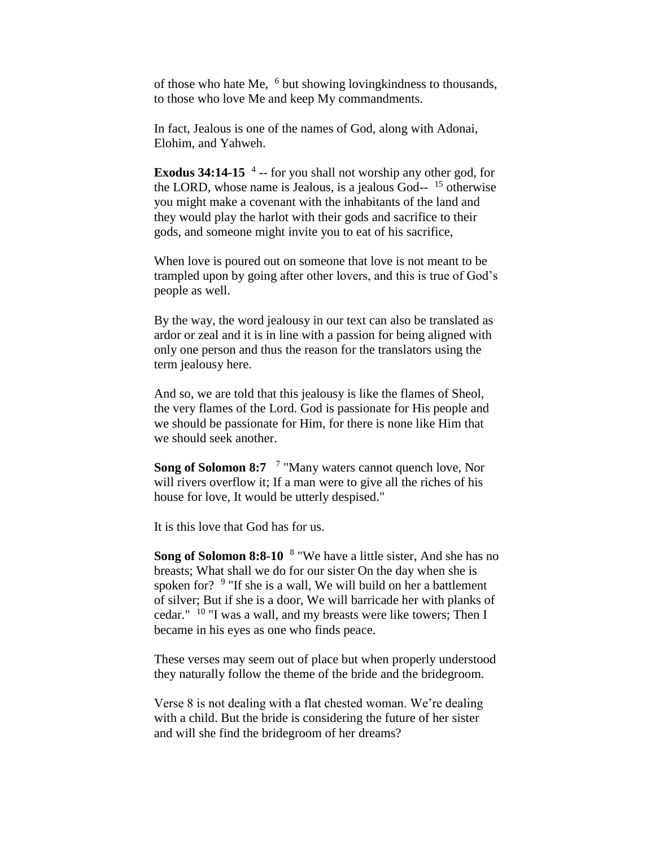of those who hate Me, <sup>6</sup> but showing loving kindness to thousands, to those who love Me and keep My commandments.

In fact, Jealous is one of the names of God, along with Adonai, Elohim, and Yahweh.

**Exodus 34:14-15** <sup>4</sup> -- for you shall not worship any other god, for the LORD, whose name is Jealous, is a jealous God-- <sup>15</sup> otherwise you might make a covenant with the inhabitants of the land and they would play the harlot with their gods and sacrifice to their gods, and someone might invite you to eat of his sacrifice,

When love is poured out on someone that love is not meant to be trampled upon by going after other lovers, and this is true of God's people as well.

By the way, the word jealousy in our text can also be translated as ardor or zeal and it is in line with a passion for being aligned with only one person and thus the reason for the translators using the term jealousy here.

And so, we are told that this jealousy is like the flames of Sheol, the very flames of the Lord. God is passionate for His people and we should be passionate for Him, for there is none like Him that we should seek another.

Song of Solomon 8:7 <sup>7</sup> "Many waters cannot quench love, Nor will rivers overflow it; If a man were to give all the riches of his house for love, It would be utterly despised."

It is this love that God has for us.

Song of Solomon 8:8-10 <sup>8</sup> "We have a little sister, And she has no breasts; What shall we do for our sister On the day when she is spoken for? <sup>9</sup> "If she is a wall, We will build on her a battlement of silver; But if she is a door, We will barricade her with planks of cedar." <sup>10</sup> "I was a wall, and my breasts were like towers; Then I became in his eyes as one who finds peace.

These verses may seem out of place but when properly understood they naturally follow the theme of the bride and the bridegroom.

Verse 8 is not dealing with a flat chested woman. We're dealing with a child. But the bride is considering the future of her sister and will she find the bridegroom of her dreams?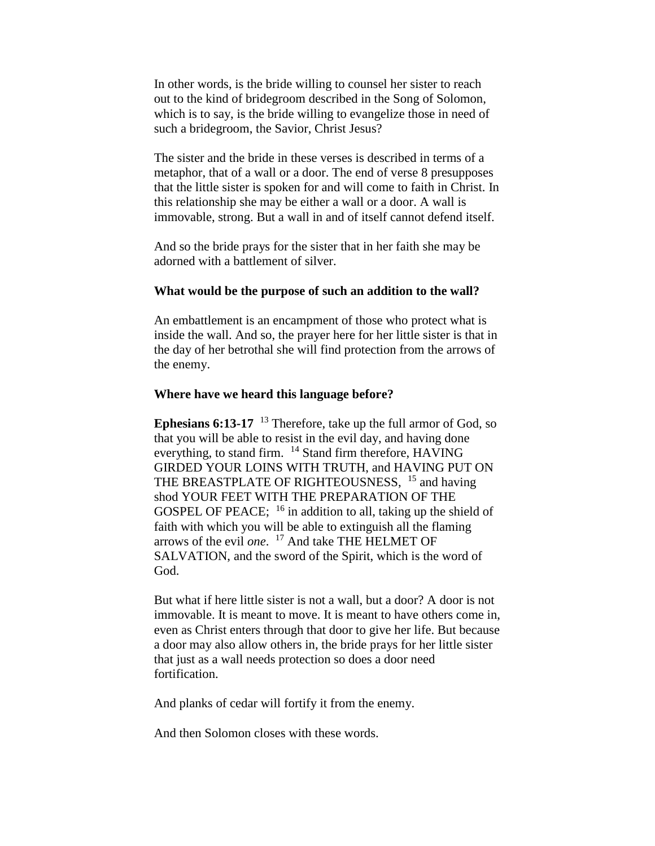In other words, is the bride willing to counsel her sister to reach out to the kind of bridegroom described in the Song of Solomon, which is to say, is the bride willing to evangelize those in need of such a bridegroom, the Savior, Christ Jesus?

The sister and the bride in these verses is described in terms of a metaphor, that of a wall or a door. The end of verse 8 presupposes that the little sister is spoken for and will come to faith in Christ. In this relationship she may be either a wall or a door. A wall is immovable, strong. But a wall in and of itself cannot defend itself.

And so the bride prays for the sister that in her faith she may be adorned with a battlement of silver.

#### **What would be the purpose of such an addition to the wall?**

An embattlement is an encampment of those who protect what is inside the wall. And so, the prayer here for her little sister is that in the day of her betrothal she will find protection from the arrows of the enemy.

#### **Where have we heard this language before?**

**Ephesians 6:13-17** <sup>13</sup> Therefore, take up the full armor of God, so that you will be able to resist in the evil day, and having done everything, to stand firm. <sup>14</sup> Stand firm therefore, HAVING GIRDED YOUR LOINS WITH TRUTH, and HAVING PUT ON THE BREASTPLATE OF RIGHTEOUSNESS, <sup>15</sup> and having shod YOUR FEET WITH THE PREPARATION OF THE GOSPEL OF PEACE;  $16$  in addition to all, taking up the shield of faith with which you will be able to extinguish all the flaming arrows of the evil *one*. <sup>17</sup> And take THE HELMET OF SALVATION, and the sword of the Spirit, which is the word of God.

But what if here little sister is not a wall, but a door? A door is not immovable. It is meant to move. It is meant to have others come in, even as Christ enters through that door to give her life. But because a door may also allow others in, the bride prays for her little sister that just as a wall needs protection so does a door need fortification.

And planks of cedar will fortify it from the enemy.

And then Solomon closes with these words.